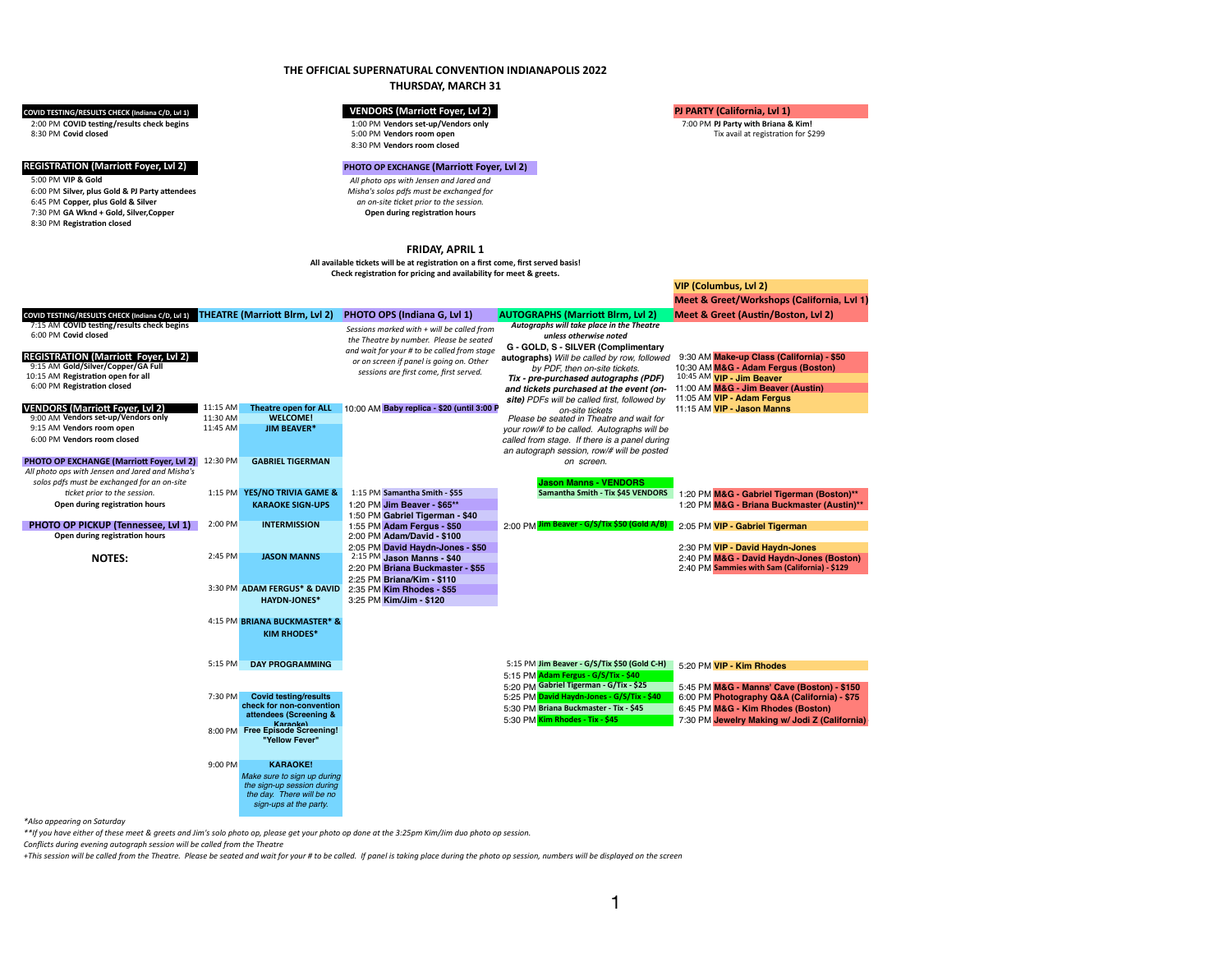# **THE OFFICIAL SUPERNATURAL CONVENTION INDIANAPOLIS 2022**

# **THURSDAY, MARCH 31**

2:00 PM **COVID testing/results check begins** 1:00 PM **Vendors set-up/Vendors only** 7:00 PM **PJ Party with Briana & Kim!** 8:30 PM **Covid closed** 5:00 PM **Vendors room open** Tix avail at registration for \$299

6:45 PM **Copper, plus Gold & Silver** 7:30 PM GA Wknd + Gold, Silver, Copper 8:30 PM **Vendors room closed**

### **REGISTRATION (Marriott Foyer, Lvl 2) PHOTO OP EXCHANGE (Marriott Foyer, Lvl 2)**

5:00 PM **VIP & Gold** *All photo ops with Jensen and Jared and Misha's solos pdfs must be exchanged for an on-site ticket prior to the session.* 

6:00 PM **Silver, plus Gold & PJ Party attendees**

8:30 PM **Registration closed**

### **FRIDAY, APRIL 1**

**All available tickets will be at registration on a first come, first served basis! Check registration for pricing and availability for meet & greets.**

|                     | <b>VIP (Columbus, Lvl 2)</b> |                                               |  |  |  |  |
|---------------------|------------------------------|-----------------------------------------------|--|--|--|--|
|                     |                              | Meet & Greet/Workshops (California, Lvl 1)    |  |  |  |  |
| m, Lvl 2)           |                              | Meet & Greet (Austin/Boston, Lvl 2)           |  |  |  |  |
| he Theatre          |                              |                                               |  |  |  |  |
| d                   |                              |                                               |  |  |  |  |
| plimentary          |                              |                                               |  |  |  |  |
| ow, followed        |                              | 9:30 AM Make-up Class (California) - \$50     |  |  |  |  |
| kets.               |                              | 10:30 AM M&G - Adam Fergus (Boston)           |  |  |  |  |
| phs (PDF)           |                              | 10:45 AM VIP - Jim Beaver                     |  |  |  |  |
| event (on-          |                              | 11:00 AM M&G - Jim Beaver (Austin)            |  |  |  |  |
| followed by         |                              | 11:05 AM VIP - Adam Fergus                    |  |  |  |  |
|                     |                              | 11:15 AM VIP - Jason Manns                    |  |  |  |  |
| <i>and wait for</i> |                              |                                               |  |  |  |  |
| aphs will be        |                              |                                               |  |  |  |  |
| panel during        |                              |                                               |  |  |  |  |
| ill be posted       |                              |                                               |  |  |  |  |
|                     |                              |                                               |  |  |  |  |
| <b>DORS</b>         |                              |                                               |  |  |  |  |
| <b>45 VENDORS</b>   |                              |                                               |  |  |  |  |
|                     |                              | 1:20 PM M&G - Gabriel Tigerman (Boston)**     |  |  |  |  |
|                     |                              | 1:20 PM M&G - Briana Buckmaster (Austin)**    |  |  |  |  |
| $0$ (Gold A/B)      |                              | 2:05 PM VIP - Gabriel Tigerman                |  |  |  |  |
|                     |                              |                                               |  |  |  |  |
|                     |                              | 2:30 PM VIP - David Haydn-Jones               |  |  |  |  |
|                     |                              | 2:40 PM M&G - David Haydn-Jones (Boston)      |  |  |  |  |
|                     |                              | 2:40 PM Sammies with Sam (California) - \$129 |  |  |  |  |
|                     |                              |                                               |  |  |  |  |

| <b>THEATRE (Marriott Blrm, Lvl 2)</b><br><b>PHOTO OPS (Indiana G, Lvl 1)</b><br>COVID TESTING/RESULTS CHECK (Indiana C/D, Lvl 1) | Meet & Greet (Austin/Boston, Lvl 2)<br><b>AUTOGRAPHS (Marriott Blrm, Lvl 2)</b>           |
|----------------------------------------------------------------------------------------------------------------------------------|-------------------------------------------------------------------------------------------|
| 7:15 AM COVID testing/results check begins<br>Sessions marked with $+$ will be called from                                       | Autographs will take place in the Theatre                                                 |
| 6:00 PM Covid closed<br>the Theatre by number. Please be seated                                                                  | unless otherwise noted                                                                    |
| and wait for your # to be called from stage                                                                                      | G - GOLD, S - SILVER (Complimentary                                                       |
| REGISTRATION (Marriott Foyer, Lvl 2)<br>or on screen if panel is going on. Other                                                 | 9:30 AM Make-up Class (California) - \$50<br>autographs) Will be called by row, followed  |
| 9:15 AM Gold/Silver/Copper/GA Full<br>sessions are first come, first served.                                                     | 10:30 AM M&G - Adam Fergus (Boston)<br>by PDF, then on-site tickets.                      |
| 10:15 AM Registration open for all                                                                                               | 10:45 AM VIP - Jim Beaver<br>Tix - pre-purchased autographs (PDF)                         |
| 6:00 PM Registration closed                                                                                                      | 11:00 AM M&G - Jim Beaver (Austin)<br>and tickets purchased at the event (on-             |
|                                                                                                                                  | 11:05 AM VIP - Adam Fergus<br>site) PDFs will be called first, followed by                |
| 11:15 AM<br><b>VENDORS (Marriott Foyer, Lvl 2)</b><br>10:00 AM Baby replica - \$20 (until 3:00 F<br><b>Theatre open for ALL</b>  | 11:15 AM VIP - Jason Manns<br>on-site tickets                                             |
| 9:00 AM Vendors set-up/Vendors only<br>11:30 AM<br><b>WELCOME!</b>                                                               | Please be seated in Theatre and wait for                                                  |
| 9:15 AM Vendors room open<br>11:45 AM<br><b>JIM BEAVER*</b>                                                                      | your row/# to be called. Autographs will be                                               |
| 6:00 PM Vendors room closed                                                                                                      | called from stage. If there is a panel during                                             |
|                                                                                                                                  | an autograph session, row/# will be posted                                                |
| <b>PHOTO OP EXCHANGE (Marriott Foyer, Lvl 2)</b><br>12:30 PM<br><b>GABRIEL TIGERMAN</b>                                          | on screen.                                                                                |
| All photo ops with Jensen and Jared and Misha's                                                                                  |                                                                                           |
| solos pdfs must be exchanged for an on-site                                                                                      | <b>Jason Manns - VENDORS</b>                                                              |
| YES/NO TRIVIA GAME &<br>1:15 PM Samantha Smith - \$55<br>ticket prior to the session.<br>$1:15$ PM                               | Samantha Smith - Tix \$45 VENDORS<br>1:20 PM M&G - Gabriel Tigerman (Boston)**            |
| Open during registration hours<br>1:20 PM Jim Beaver - \$65**<br><b>KARAOKE SIGN-UPS</b>                                         | 1:20 PM M&G - Briana Buckmaster (Austin)**                                                |
| 1:50 PM Gabriel Tigerman - \$40                                                                                                  |                                                                                           |
| 2:00 PM<br><b>PHOTO OP PICKUP (Tennessee, Lvl 1)</b><br><b>INTERMISSION</b><br>1:55 PM Adam Fergus - \$50                        | 2:00 PM Jim Beaver - G/S/Tix \$50 (Gold A/B)<br>2:05 PM VIP - Gabriel Tigerman            |
| Open during registration hours<br>2:00 PM Adam/David - \$100                                                                     |                                                                                           |
| 2:05 PM David Haydn-Jones - \$50                                                                                                 | 2:30 PM VIP - David Haydn-Jones                                                           |
| 2:45 PM<br><b>JASON MANNS</b><br>$2:15 \text{ PM}$ Jason Manns - \$40<br><b>NOTES:</b>                                           | 2:40 PM M&G - David Haydn-Jones (Boston)                                                  |
| 2:20 PM Briana Buckmaster - \$55                                                                                                 | 2:40 PM Sammies with Sam (California) - \$129                                             |
| 2:25 PM Briana/Kim - \$110                                                                                                       |                                                                                           |
| 3:30 PM ADAM FERGUS* & DAVID<br>2:35 PM Kim Rhodes - \$55                                                                        |                                                                                           |
| 3:25 PM Kim/Jim - \$120<br><b>HAYDN-JONES*</b>                                                                                   |                                                                                           |
|                                                                                                                                  |                                                                                           |
| 4:15 PM BRIANA BUCKMASTER* &                                                                                                     |                                                                                           |
| <b>KIM RHODES*</b>                                                                                                               |                                                                                           |
|                                                                                                                                  |                                                                                           |
|                                                                                                                                  |                                                                                           |
| 5:15 PM<br><b>DAY PROGRAMMING</b>                                                                                                | 5:15 PM Jim Beaver - G/S/Tix \$50 (Gold C-H)<br>5:20 PM VIP - Kim Rhodes                  |
|                                                                                                                                  | 5:15 PM Adam Fergus - G/S/Tix - \$40                                                      |
|                                                                                                                                  | 5:20 PM Gabriel Tigerman - G/Tix - \$25<br>5:45 PM M&G - Manns' Cave (Boston) - \$150     |
| <b>Covid testing/results</b><br>7:30 PM                                                                                          | 5:25 PM David Haydn-Jones - G/S/Tix - \$40<br>6:00 PM Photography Q&A (California) - \$75 |
|                                                                                                                                  |                                                                                           |
|                                                                                                                                  |                                                                                           |
| check for non-convention<br>attendees (Screening &                                                                               | 5:30 PM Briana Buckmaster - Tix - \$45<br>6:45 PM M&G - Kim Rhodes (Boston)               |
| Karankel                                                                                                                         | 5:30 PM Kim Rhodes - Tix - \$45                                                           |
| 8:00 PM Free Episode Screening!                                                                                                  |                                                                                           |
| "Yellow Fever"                                                                                                                   |                                                                                           |
|                                                                                                                                  |                                                                                           |
| <b>KARAOKE!</b><br>9:00 PM                                                                                                       |                                                                                           |
| Make sure to sign up during                                                                                                      |                                                                                           |
| the sign-up session during                                                                                                       | 7:30 PM Jewelry Making w/ Jodi Z (California)                                             |
| the day. There will be no<br>sign-ups at the party.                                                                              |                                                                                           |

*\*Also appearing on Saturday*

*\*\*If you have either of these meet & greets and Jim's solo photo op, please get your photo op done at the 3:25pm Kim/Jim duo photo op session. Conflicts during evening autograph session will be called from the Theatre*

*+This session will be called from the Theatre. Please be seated and wait for your # to be called. If panel is taking place during the photo op session, numbers will be displayed on the screen*

### **COVID TESTING/RESULTS CHECK (Indiana C/D, Lvl 1) VENDORS (Marriott Foyer, Lvl 2) PJ PARTY (California, Lvl 1)**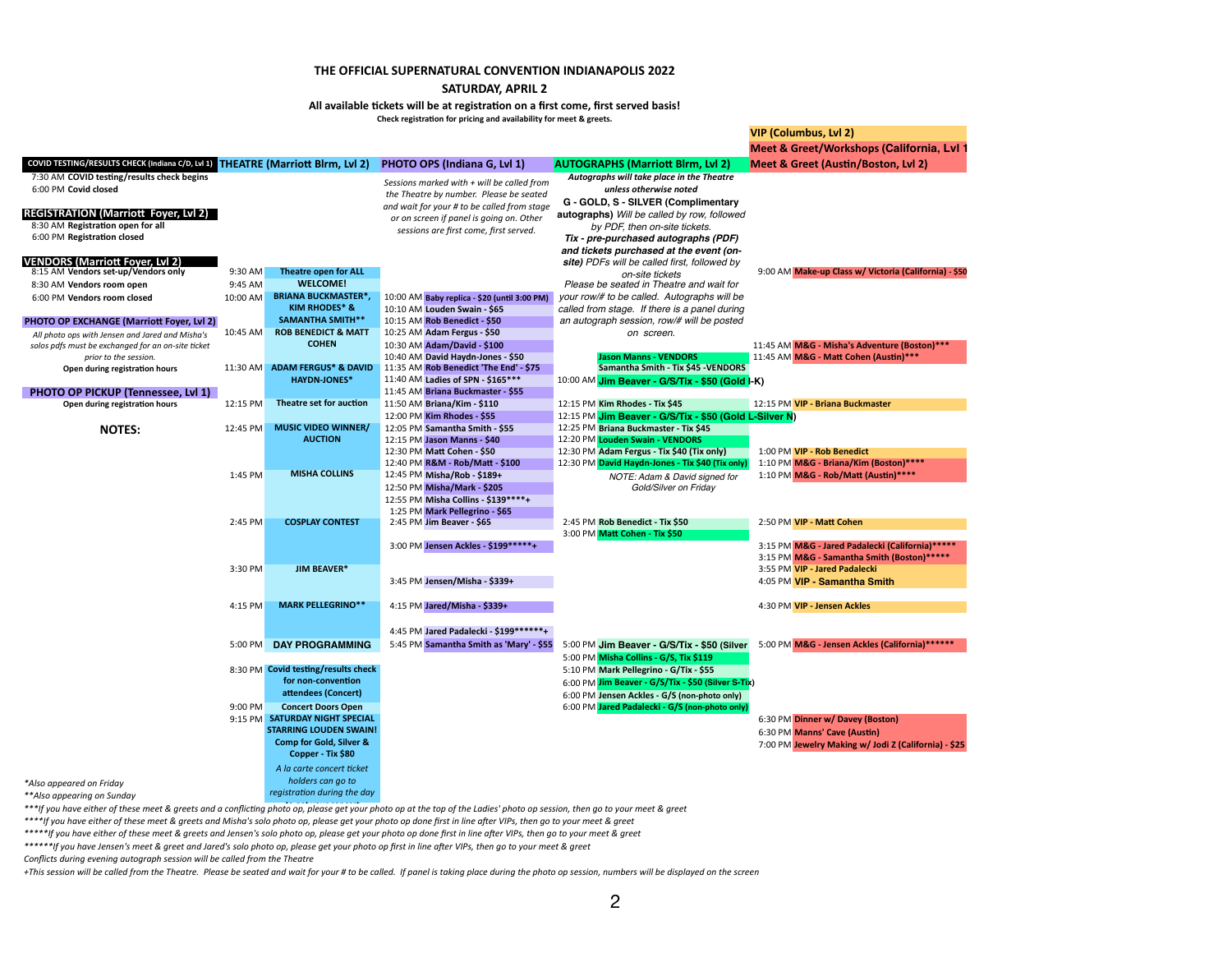# **THE OFFICIAL SUPERNATURAL CONVENTION INDIANAPOLIS 2022 SATURDAY, APRIL 2**

**All available tickets will be at registration on a first come, first served basis! Check registration for pricing and availability for meet & greets.**

|                                                                                                                 | Check registration for pricing and availability for meet & greets. |                                                        |                                                                                         |                                                                                                                                   |                                                                                                                                                                    |                                                                                                 |  |  |
|-----------------------------------------------------------------------------------------------------------------|--------------------------------------------------------------------|--------------------------------------------------------|-----------------------------------------------------------------------------------------|-----------------------------------------------------------------------------------------------------------------------------------|--------------------------------------------------------------------------------------------------------------------------------------------------------------------|-------------------------------------------------------------------------------------------------|--|--|
|                                                                                                                 |                                                                    |                                                        |                                                                                         |                                                                                                                                   |                                                                                                                                                                    | VIP (Columbus, Lvl 2)                                                                           |  |  |
|                                                                                                                 |                                                                    |                                                        |                                                                                         |                                                                                                                                   |                                                                                                                                                                    | Meet & Greet/Workshops (California, Lvl                                                         |  |  |
| COVID TESTING/RESULTS CHECK (Indiana C/D, Lvl 1) THEATRE (Marriott Blrm, Lvl 2)                                 |                                                                    |                                                        |                                                                                         | <b>PHOTO OPS (Indiana G, Lvl 1)</b>                                                                                               | <b>AUTOGRAPHS (Marriott Blrm, Lvl 2)</b>                                                                                                                           | Meet & Greet (Austin/Boston, Lvl 2)                                                             |  |  |
| 7:30 AM COVID testing/results check begins<br>6:00 PM Covid closed                                              |                                                                    |                                                        | Sessions marked with $+$ will be called from<br>the Theatre by number. Please be seated |                                                                                                                                   | Autographs will take place in the Theatre<br>unless otherwise noted                                                                                                |                                                                                                 |  |  |
| <b>REGISTRATION (Marriott Foyer, Lvl 2)</b><br>8:30 AM Registration open for all<br>6:00 PM Registration closed |                                                                    |                                                        |                                                                                         | and wait for your # to be called from stage<br>or on screen if panel is going on. Other<br>sessions are first come, first served. | G - GOLD, S - SILVER (Complimentary<br><b>autographs)</b> Will be called by row, followed<br>by PDF, then on-site tickets.<br>Tix - pre-purchased autographs (PDF) |                                                                                                 |  |  |
| <b>VENDORS (Marriott Foyer, Lvl 2)</b>                                                                          |                                                                    |                                                        |                                                                                         |                                                                                                                                   | and tickets purchased at the event (on-<br>site) PDFs will be called first, followed by                                                                            |                                                                                                 |  |  |
| 8:15 AM Vendors set-up/Vendors only                                                                             | 9:30 AM                                                            | Theatre open for ALL                                   |                                                                                         |                                                                                                                                   | on-site tickets                                                                                                                                                    | 9:00 AM Make-up Class w/ Victoria (California) - \$50                                           |  |  |
| 8:30 AM Vendors room open                                                                                       | $9:45$ AM                                                          | <b>WELCOME!</b>                                        |                                                                                         |                                                                                                                                   | Please be seated in Theatre and wait for                                                                                                                           |                                                                                                 |  |  |
| 6:00 PM Vendors room closed                                                                                     | 10:00 AM                                                           | <b>BRIANA BUCKMASTER*,</b><br><b>KIM RHODES* &amp;</b> |                                                                                         | 10:00 AM Baby replica - \$20 (until 3:00 PM)<br>10:10 AM Louden Swain - \$65                                                      | your row/# to be called. Autographs will be<br>called from stage. If there is a panel during                                                                       |                                                                                                 |  |  |
| <b>PHOTO OP EXCHANGE (Marriott Foyer, Lvl 2)</b>                                                                |                                                                    | <b>SAMANTHA SMITH**</b>                                |                                                                                         | 10:15 AM Rob Benedict - \$50                                                                                                      | an autograph session, row/# will be posted                                                                                                                         |                                                                                                 |  |  |
| All photo ops with Jensen and Jared and Misha's                                                                 | 10:45 AM                                                           | <b>ROB BENEDICT &amp; MATT</b>                         |                                                                                         | 10:25 AM Adam Fergus - \$50                                                                                                       | on screen.                                                                                                                                                         |                                                                                                 |  |  |
| solos pdfs must be exchanged for an on-site ticket<br>prior to the session.                                     |                                                                    | <b>COHEN</b>                                           |                                                                                         | 10:30 AM Adam/David - \$100<br>10:40 AM David Haydn-Jones - \$50                                                                  | <b>Jason Manns - VENDORS</b>                                                                                                                                       | 11:45 AM M&G - Misha's Adventure (Boston)***<br>11:45 AM M&G - Matt Cohen (Austin)***           |  |  |
| Open during registration hours                                                                                  | $11:30$ AM                                                         | <b>ADAM FERGUS* &amp; DAVID</b>                        |                                                                                         | 11:35 AM Rob Benedict 'The End' - \$75                                                                                            | Samantha Smith - Tix \$45 - VENDORS                                                                                                                                |                                                                                                 |  |  |
|                                                                                                                 |                                                                    | <b>HAYDN-JONES*</b>                                    |                                                                                         | 11:40 AM Ladies of SPN - \$165***                                                                                                 | 10:00 AM Jim Beaver - G/S/Tix - \$50 (Gold I-K)                                                                                                                    |                                                                                                 |  |  |
| <b>PHOTO OP PICKUP (Tennessee, Lvl 1)</b>                                                                       |                                                                    | Theatre set for auction                                |                                                                                         | 11:45 AM Briana Buckmaster - \$55                                                                                                 |                                                                                                                                                                    |                                                                                                 |  |  |
| Open during registration hours                                                                                  | 12:15 PM                                                           |                                                        |                                                                                         | 11:50 AM Briana/Kim - \$110<br>12:00 PM Kim Rhodes - \$55                                                                         | 12:15 PM Kim Rhodes - Tix \$45                                                                                                                                     | 12:15 PM VIP - Briana Buckmaster                                                                |  |  |
|                                                                                                                 | 12:45 PM                                                           | <b>MUSIC VIDEO WINNER/</b>                             |                                                                                         | 12:05 PM Samantha Smith - \$55                                                                                                    | 12:15 PM Jim Beaver - G/S/Tix - \$50 (Gold L-Silver N)<br>12:25 PM Briana Buckmaster - Tix \$45                                                                    |                                                                                                 |  |  |
| <b>NOTES:</b>                                                                                                   |                                                                    | <b>AUCTION</b>                                         |                                                                                         | 12:15 PM Jason Manns - \$40                                                                                                       | 12:20 PM Louden Swain - VENDORS                                                                                                                                    |                                                                                                 |  |  |
|                                                                                                                 |                                                                    |                                                        |                                                                                         | 12:30 PM Matt Cohen - \$50                                                                                                        | 12:30 PM Adam Fergus - Tix \$40 (Tix only)                                                                                                                         | 1:00 PM VIP - Rob Benedict                                                                      |  |  |
|                                                                                                                 |                                                                    |                                                        |                                                                                         | 12:40 PM R&M - Rob/Matt - \$100                                                                                                   | 12:30 PM David Haydn-Jones - Tix \$40 (Tix only)                                                                                                                   | 1:10 PM M&G - Briana/Kim (Boston)****                                                           |  |  |
|                                                                                                                 | 1:45 PM                                                            | <b>MISHA COLLINS</b>                                   |                                                                                         | 12:45 PM Misha/Rob - \$189+                                                                                                       | NOTE: Adam & David signed for                                                                                                                                      | 1:10 PM M&G - Rob/Matt (Austin) ****                                                            |  |  |
|                                                                                                                 |                                                                    |                                                        |                                                                                         | 12:50 PM Misha/Mark - \$205                                                                                                       | Gold/Silver on Friday                                                                                                                                              |                                                                                                 |  |  |
|                                                                                                                 |                                                                    |                                                        |                                                                                         | 12:55 PM Misha Collins - \$139 **** +                                                                                             |                                                                                                                                                                    |                                                                                                 |  |  |
|                                                                                                                 |                                                                    |                                                        |                                                                                         | 1:25 PM Mark Pellegrino - \$65                                                                                                    |                                                                                                                                                                    |                                                                                                 |  |  |
|                                                                                                                 | $2:45$ PM                                                          | <b>COSPLAY CONTEST</b>                                 |                                                                                         | 2:45 PM Jim Beaver - \$65                                                                                                         | 2:45 PM Rob Benedict - Tix \$50<br>3:00 PM Matt Cohen - Tix \$50                                                                                                   | 2:50 PM VIP - Matt Cohen                                                                        |  |  |
|                                                                                                                 |                                                                    |                                                        |                                                                                         | 3:00 PM Jensen Ackles - \$199 ******+                                                                                             |                                                                                                                                                                    | 3:15 PM M&G - Jared Padalecki (California) *****<br>3:15 PM M&G - Samantha Smith (Boston) ***** |  |  |
|                                                                                                                 | 3:30 PM                                                            | <b>JIM BEAVER*</b>                                     |                                                                                         |                                                                                                                                   |                                                                                                                                                                    | 3:55 PM VIP - Jared Padalecki                                                                   |  |  |
|                                                                                                                 |                                                                    |                                                        |                                                                                         | 3:45 PM Jensen/Misha - \$339+                                                                                                     |                                                                                                                                                                    | 4:05 PM VIP - Samantha Smith                                                                    |  |  |
|                                                                                                                 | 4:15 PM                                                            | <b>MARK PELLEGRINO**</b>                               |                                                                                         | 4:15 PM Jared/Misha - \$339+                                                                                                      |                                                                                                                                                                    | 4:30 PM VIP - Jensen Ackles                                                                     |  |  |
|                                                                                                                 |                                                                    |                                                        |                                                                                         | 4:45 PM Jared Padalecki - \$199 *******                                                                                           |                                                                                                                                                                    |                                                                                                 |  |  |
|                                                                                                                 | $5:00$ PM                                                          | <b>DAY PROGRAMMING</b>                                 |                                                                                         | 5:45 PM Samantha Smith as 'Mary' - \$55                                                                                           | 5:00 PM Jim Beaver - G/S/Tix - \$50 (Silver                                                                                                                        | 5:00 PM M&G - Jensen Ackles (California) ******                                                 |  |  |
|                                                                                                                 |                                                                    | 8:30 PM Covid testing/results check                    |                                                                                         |                                                                                                                                   | 5:00 PM Misha Collins - G/S, Tix \$119<br>5:10 PM Mark Pellegrino - G/Tix - \$55                                                                                   |                                                                                                 |  |  |
|                                                                                                                 |                                                                    | for non-convention                                     |                                                                                         |                                                                                                                                   | 6:00 PM Jim Beaver - G/S/Tix - \$50 (Silver S-Tix)                                                                                                                 |                                                                                                 |  |  |
|                                                                                                                 |                                                                    | attendees (Concert)                                    |                                                                                         |                                                                                                                                   | 6:00 PM Jensen Ackles - G/S (non-photo only)                                                                                                                       |                                                                                                 |  |  |
|                                                                                                                 | 9:00 PM                                                            | <b>Concert Doors Open</b>                              |                                                                                         |                                                                                                                                   | 6:00 PM Jared Padalecki - G/S (non-photo only)                                                                                                                     |                                                                                                 |  |  |
|                                                                                                                 | $9:15$ PM                                                          | <b>SATURDAY NIGHT SPECIAL</b>                          |                                                                                         |                                                                                                                                   |                                                                                                                                                                    | 6:30 PM Dinner w/ Davey (Boston)                                                                |  |  |
|                                                                                                                 |                                                                    | <b>STARRING LOUDEN SWAIN!</b>                          |                                                                                         |                                                                                                                                   |                                                                                                                                                                    | 6:30 PM Manns' Cave (Austin)                                                                    |  |  |
|                                                                                                                 |                                                                    | <b>Comp for Gold, Silver &amp;</b>                     |                                                                                         |                                                                                                                                   |                                                                                                                                                                    | 7:00 PM Jewelry Making w/ Jodi Z (California) - \$25                                            |  |  |
|                                                                                                                 |                                                                    | Copper - Tix \$80                                      |                                                                                         |                                                                                                                                   |                                                                                                                                                                    |                                                                                                 |  |  |
|                                                                                                                 |                                                                    | A la carte concert ticket                              |                                                                                         |                                                                                                                                   |                                                                                                                                                                    |                                                                                                 |  |  |
| *Also appeared on Friday                                                                                        |                                                                    | holders can go to                                      |                                                                                         |                                                                                                                                   |                                                                                                                                                                    |                                                                                                 |  |  |
| **Also appearing on Sunday                                                                                      |                                                                    | registration during the day                            |                                                                                         |                                                                                                                                   |                                                                                                                                                                    |                                                                                                 |  |  |

\*\*\*If you have either of these meet & greets and a conflicting photo op, please get your photo op at the top of the Ladies' photo op session, then go to your meet & greet *\*\*\*\*If you have either of these meet & greets and Misha's solo photo op, please get your photo op done first in line after VIPs, then go to your meet & greet*

*\*\*Also appearing on Sunday*

*\*\*\*\*\*If you have either of these meet & greets and Jensen's solo photo op, please get your photo op done first in line after VIPs, then go to your meet & greet \*\*\*\*\*\*If you have Jensen's meet & greet and Jared's solo photo op, please get your photo op first in line after VIPs, then go to your meet & greet*

*Conflicts during evening autograph session will be called from the Theatre +This session will be called from the Theatre. Please be seated and wait for your # to be called. If panel is taking place during the photo op session, numbers will be displayed on the screen*